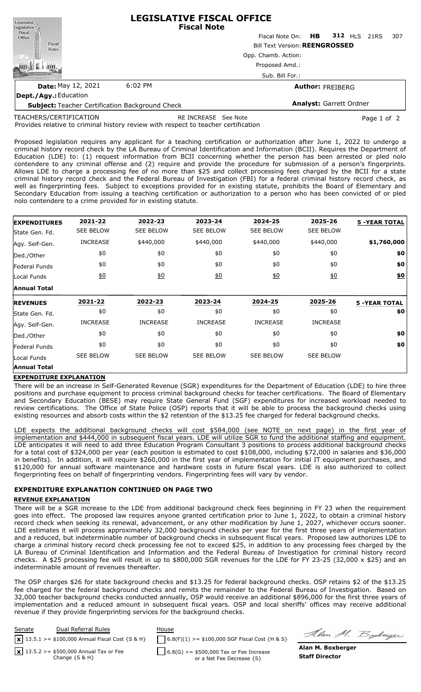| Louisiana                                              | <b>LEGISLATIVE FISCAL OFFICE</b><br><b>Fiscal Note</b> |                                 |  |  |  |     |  |  |  |  |
|--------------------------------------------------------|--------------------------------------------------------|---------------------------------|--|--|--|-----|--|--|--|--|
| Legislative<br>Fiscal<br>Office                        |                                                        | Fiscal Note On: HB 312 HLS 21RS |  |  |  | 307 |  |  |  |  |
| Fiscal<br><b>Notes</b>                                 | <b>Bill Text Version: REENGROSSED</b>                  |                                 |  |  |  |     |  |  |  |  |
|                                                        | Opp. Chamb. Action:<br>Proposed Amd.:                  |                                 |  |  |  |     |  |  |  |  |
|                                                        |                                                        |                                 |  |  |  |     |  |  |  |  |
|                                                        | Sub. Bill For.:                                        |                                 |  |  |  |     |  |  |  |  |
| <b>Date: May 12, 2021</b>                              | 6:02 PM                                                | <b>Author: FREIBERG</b>         |  |  |  |     |  |  |  |  |
| Dept./Agy.: Education                                  |                                                        |                                 |  |  |  |     |  |  |  |  |
| <b>Subject: Teacher Certification Background Check</b> |                                                        | <b>Analyst: Garrett Ordner</b>  |  |  |  |     |  |  |  |  |

TEACHERS/CERTIFICATION

RE INCREASE See Note **Page 1 of 2** 

Provides relative to criminal history review with respect to teacher certification

Proposed legislation requires any applicant for a teaching certification or authorization after June 1, 2022 to undergo a criminal history record check by the LA Bureau of Criminal Identification and Information (BCII). Requires the Department of Education (LDE) to: (1) request information from BCII concerning whether the person has been arrested or pled nolo contendere to any criminal offense and (2) require and provide the procedure for submission of a person's fingerprints. Allows LDE to charge a processing fee of no more than \$25 and collect processing fees charged by the BCII for a state criminal history record check and the Federal Bureau of Investigation (FBI) for a federal criminal history record check, as well as fingerprinting fees. Subject to exceptions provided for in existing statute, prohibits the Board of Elementary and Secondary Education from issuing a teaching certification or authorization to a person who has been convicted of or pled nolo contendere to a crime provided for in existing statute.

| <b>EXPENDITURES</b>  | 2021-22          | 2022-23          | 2023-24          | 2024-25          | 2025-26          | <b>5 -YEAR TOTAL</b> |
|----------------------|------------------|------------------|------------------|------------------|------------------|----------------------|
| State Gen. Fd.       | <b>SEE BELOW</b> | <b>SEE BELOW</b> | <b>SEE BELOW</b> | <b>SEE BELOW</b> | <b>SEE BELOW</b> |                      |
| Agy. Self-Gen.       | <b>INCREASE</b>  | \$440,000        | \$440,000        | \$440,000        | \$440,000        | \$1,760,000          |
| Ded./Other           | \$0              | \$0              | \$0              | \$0              | \$0              | \$0                  |
| Federal Funds        | \$0              | \$0              | \$0              | \$0              | \$0              | \$0                  |
| Local Funds          | 60               | 60               | 60               | 60               | 60               | $\underline{\$0}$    |
| Annual Total         |                  |                  |                  |                  |                  |                      |
| <b>REVENUES</b>      | 2021-22          | 2022-23          | 2023-24          | 2024-25          | 2025-26          | <b>5 -YEAR TOTAL</b> |
| State Gen. Fd.       | \$0              | \$0              | \$0              | \$0              | \$0              | \$0                  |
| Agy. Self-Gen.       | <b>INCREASE</b>  | <b>INCREASE</b>  | <b>INCREASE</b>  | <b>INCREASE</b>  | <b>INCREASE</b>  |                      |
| Ded./Other           | \$0              | \$0              | \$0              | \$0              | \$0              | \$0                  |
| <b>Federal Funds</b> | \$0              | \$0              | \$0              | \$0              | \$0              | \$0                  |
|                      |                  |                  |                  |                  |                  |                      |
| Local Funds          | <b>SEE BELOW</b> | <b>SEE BELOW</b> | <b>SEE BELOW</b> | <b>SEE BELOW</b> | <b>SEE BELOW</b> |                      |

#### **EXPENDITURE EXPLANATION**

There will be an increase in Self-Generated Revenue (SGR) expenditures for the Department of Education (LDE) to hire three positions and purchase equipment to process criminal background checks for teacher certifications. The Board of Elementary and Secondary Education (BESE) may require State General Fund (SGF) expenditures for increased workload needed to review certifications. The Office of State Police (OSP) reports that it will be able to process the background checks using existing resources and absorb costs within the \$2 retention of the \$13.25 fee charged for federal background checks.

LDE expects the additional background checks will cost \$584,000 (see NOTE on next page) in the first year of implementation and \$444,000 in subsequent fiscal years. LDE will utilize SGR to fund the additional staffing and equipment. LDE anticipates it will need to add three Education Program Consultant 3 positions to process additional background checks for a total cost of \$324,000 per year (each position is estimated to cost \$108,000, including \$72,000 in salaries and \$36,000 in benefits). In addition, it will require \$260,000 in the first year of implementation for initial IT equipment purchases, and \$120,000 for annual software maintenance and hardware costs in future fiscal years. LDE is also authorized to collect fingerprinting fees on behalf of fingerprinting vendors. Fingerprinting fees will vary by vendor.

## **EXPENDITURE EXPLANATION CONTINUED ON PAGE TWO**

#### **REVENUE EXPLANATION**

There will be a SGR increase to the LDE from additional background check fees beginning in FY 23 when the requirement goes into effect. The proposed law requires anyone granted certification prior to June 1, 2022, to obtain a criminal history record check when seeking its renewal, advancement, or any other modification by June 1, 2027, whichever occurs sooner. LDE estimates it will process approximately 32,000 background checks per year for the first three years of implementation and a reduced, but indeterminable number of background checks in subsequent fiscal years. Proposed law authorizes LDE to charge a criminal history record check processing fee not to exceed \$25, in addition to any processing fees charged by the LA Bureau of Criminal Identification and Information and the Federal Bureau of Investigation for criminal history record checks. A \$25 processing fee will result in up to \$800,000 SGR revenues for the LDE for FY 23-25 (32,000 x \$25) and an indeterminable amount of revenues thereafter.

The OSP charges \$26 for state background checks and \$13.25 for federal background checks. OSP retains \$2 of the \$13.25 fee charged for the federal background checks and remits the remainder to the Federal Bureau of Investigation. Based on 32,000 teacher background checks conducted annually, OSP would receive an additional \$896,000 for the first three years of implementation and a reduced amount in subsequent fiscal years. OSP and local sheriffs' offices may receive additional revenue if they provide fingerprinting services for the background checks.



Alan M. Boderger

**Alan M. Boxberger Staff Director**